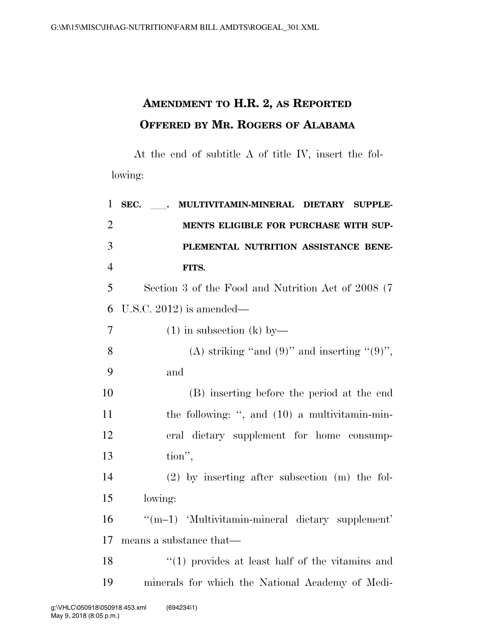## **AMENDMENT TO H.R. 2, AS REPORTED OFFERED BY MR. ROGERS OF ALABAMA**

At the end of subtitle A of title IV, insert the following:

| $\mathbf{1}$   | SEC.<br>MULTIVITAMIN-MINERAL<br><b>DIETARY</b><br><b>SUPPLE-</b><br>$\mathcal{L} = \mathcal{L}$ |
|----------------|-------------------------------------------------------------------------------------------------|
| $\overline{2}$ | MENTS ELIGIBLE FOR PURCHASE WITH SUP-                                                           |
| 3              | PLEMENTAL NUTRITION ASSISTANCE BENE-                                                            |
| $\overline{4}$ | FITS.                                                                                           |
| 5              | Section 3 of the Food and Nutrition Act of 2008 (7)                                             |
| 6              | U.S.C. 2012) is amended—                                                                        |
| 7              | $(1)$ in subsection $(k)$ by —                                                                  |
| 8              | (A) striking "and $(9)$ " and inserting " $(9)$ ",                                              |
| 9              | and                                                                                             |
| 10             | (B) inserting before the period at the end                                                      |
| 11             | the following: ", and (10) a multivitamin-min-                                                  |
| 12             | eral dietary supplement for home consump-                                                       |
| 13             | tion",                                                                                          |
| 14             | $(2)$ by inserting after subsection $(m)$ the fol-                                              |
| 15             | lowing:                                                                                         |
| 16             | "(m-1) 'Multivitamin-mineral dietary supplement'                                                |
| 17             | means a substance that—                                                                         |
| 18             | $\lq(1)$ provides at least half of the vitamins and                                             |
| 19             | minerals for which the National Academy of Medi-                                                |
|                |                                                                                                 |